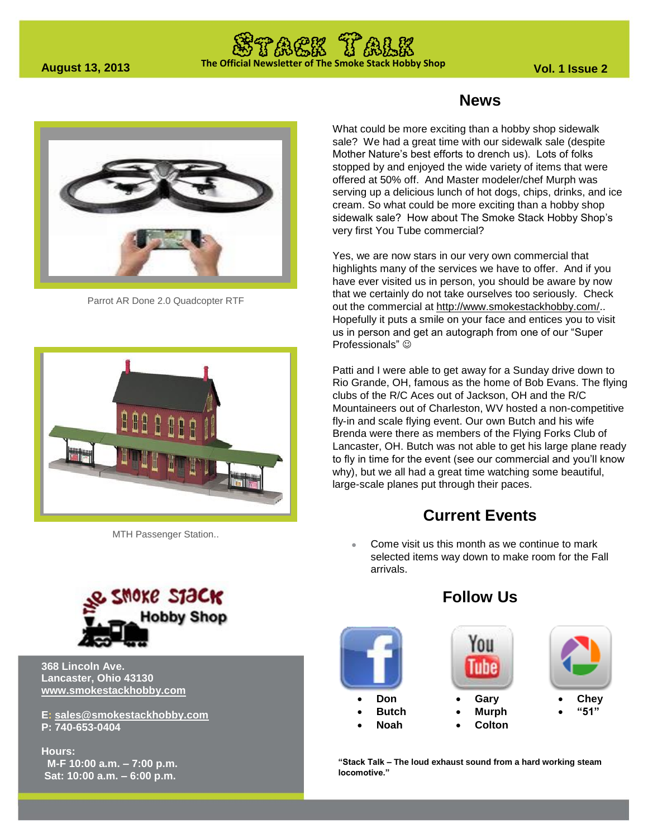# **The Official Newsletter of The Smoke Stack Hobby Shop August 13, 2013 Vol. 1 Issue 2**



Parrot AR Done 2.0 Quadcopter RTF



MTH Passenger Station..



**368 Lincoln Ave. Lancaster, Ohio 43130 [www.smokestackhobby.com](http://www.smokestackhobby.com/)**

**E: [sales@smokestackhobby.com](mailto:sales@smokestackhobby.com) P: 740-653-0404**

**Hours: M-F 10:00 a.m. – 7:00 p.m. Sat: 10:00 a.m. – 6:00 p.m.**

#### **News**

What could be more exciting than a hobby shop sidewalk sale? We had a great time with our sidewalk sale (despite Mother Nature's best efforts to drench us). Lots of folks stopped by and enjoyed the wide variety of items that were offered at 50% off. And Master modeler/chef Murph was serving up a delicious lunch of hot dogs, chips, drinks, and ice cream. So what could be more exciting than a hobby shop sidewalk sale? How about The Smoke Stack Hobby Shop's very first You Tube commercial?

Yes, we are now stars in our very own commercial that highlights many of the services we have to offer. And if you have ever visited us in person, you should be aware by now that we certainly do not take ourselves too seriously. Check out the commercial at [http://www.smokestackhobby.com/.](http://www.smokestackhobby.com/). Hopefully it puts a smile on your face and entices you to visit us in person and get an autograph from one of our "Super Professionals"  $\odot$ 

Patti and I were able to get away for a Sunday drive down to Rio Grande, OH, famous as the home of Bob Evans. The flying clubs of the R/C Aces out of Jackson, OH and the R/C Mountaineers out of Charleston, WV hosted a non-competitive fly-in and scale flying event. Our own Butch and his wife Brenda were there as members of the Flying Forks Club of Lancaster, OH. Butch was not able to get his large plane ready to fly in time for the event (see our commercial and you'll know why), but we all had a great time watching some beautiful, large-scale planes put through their paces.

### **Current Events**

 Come visit us this month as we continue to mark selected items way down to make room for the Fall arrivals.

### **Follow Us**



**"Stack Talk – The loud exhaust sound from a hard working steam locomotive."**